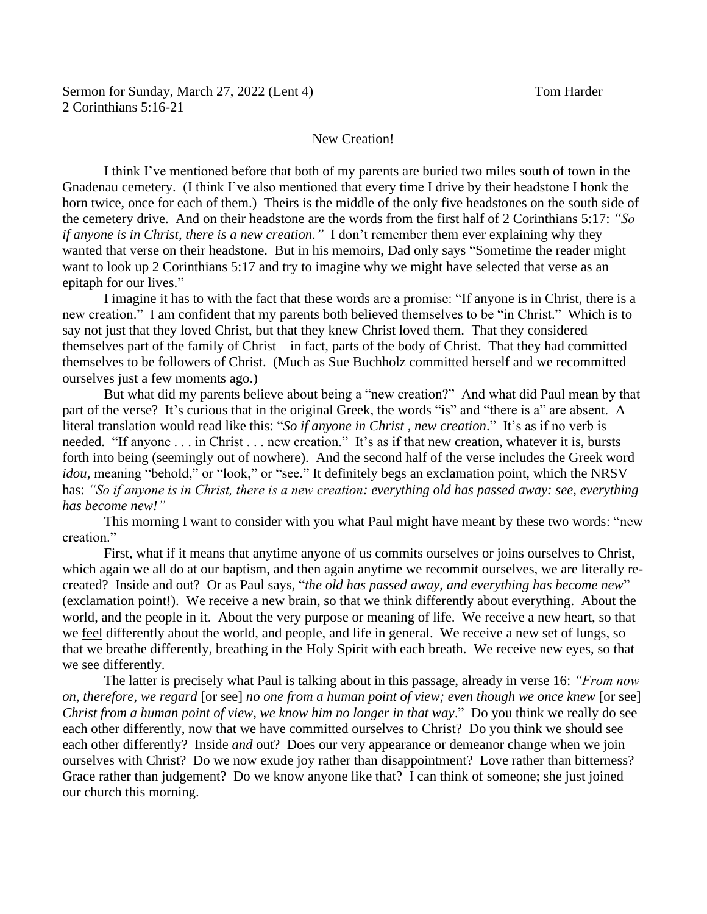## New Creation!

I think I've mentioned before that both of my parents are buried two miles south of town in the Gnadenau cemetery. (I think I've also mentioned that every time I drive by their headstone I honk the horn twice, once for each of them.) Theirs is the middle of the only five headstones on the south side of the cemetery drive. And on their headstone are the words from the first half of 2 Corinthians 5:17: *"So if anyone is in Christ, there is a new creation."* I don't remember them ever explaining why they wanted that verse on their headstone. But in his memoirs, Dad only says "Sometime the reader might want to look up 2 Corinthians 5:17 and try to imagine why we might have selected that verse as an epitaph for our lives."

I imagine it has to with the fact that these words are a promise: "If anyone is in Christ, there is a new creation." I am confident that my parents both believed themselves to be "in Christ." Which is to say not just that they loved Christ, but that they knew Christ loved them. That they considered themselves part of the family of Christ—in fact, parts of the body of Christ. That they had committed themselves to be followers of Christ. (Much as Sue Buchholz committed herself and we recommitted ourselves just a few moments ago.)

But what did my parents believe about being a "new creation?" And what did Paul mean by that part of the verse? It's curious that in the original Greek, the words "is" and "there is a" are absent. A literal translation would read like this: "*So if anyone in Christ , new creation*." It's as if no verb is needed. "If anyone . . . in Christ . . . new creation." It's as if that new creation, whatever it is, bursts forth into being (seemingly out of nowhere). And the second half of the verse includes the Greek word *idou*, meaning "behold," or "look," or "see." It definitely begs an exclamation point, which the NRSV has: *"So if anyone is in Christ, there is a new creation: everything old has passed away: see, everything has become new!"*

This morning I want to consider with you what Paul might have meant by these two words: "new creation."

First, what if it means that anytime anyone of us commits ourselves or joins ourselves to Christ, which again we all do at our baptism, and then again anytime we recommit ourselves, we are literally recreated? Inside and out? Or as Paul says, "*the old has passed away, and everything has become new*" (exclamation point!). We receive a new brain, so that we think differently about everything. About the world, and the people in it. About the very purpose or meaning of life. We receive a new heart, so that we feel differently about the world, and people, and life in general. We receive a new set of lungs, so that we breathe differently, breathing in the Holy Spirit with each breath. We receive new eyes, so that we see differently.

The latter is precisely what Paul is talking about in this passage, already in verse 16: *"From now on, therefore, we regard* [or see] *no one from a human point of view; even though we once knew* [or see] *Christ from a human point of view, we know him no longer in that way*." Do you think we really do see each other differently, now that we have committed ourselves to Christ? Do you think we should see each other differently? Inside *and* out? Does our very appearance or demeanor change when we join ourselves with Christ? Do we now exude joy rather than disappointment? Love rather than bitterness? Grace rather than judgement? Do we know anyone like that? I can think of someone; she just joined our church this morning.